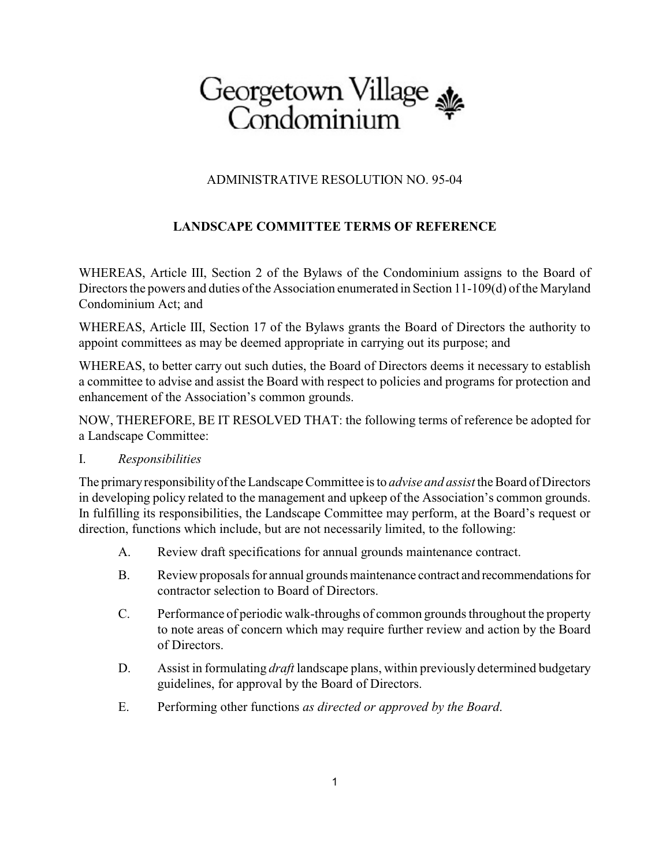# Georgetown Village<br>Condominium

## ADMINISTRATIVE RESOLUTION NO. 95-04

## **LANDSCAPE COMMITTEE TERMS OF REFERENCE**

WHEREAS, Article III, Section 2 of the Bylaws of the Condominium assigns to the Board of Directors the powers and duties of the Association enumerated in Section 11-109(d) of the Maryland Condominium Act; and

WHEREAS, Article III, Section 17 of the Bylaws grants the Board of Directors the authority to appoint committees as may be deemed appropriate in carrying out its purpose; and

WHEREAS, to better carry out such duties, the Board of Directors deems it necessary to establish a committee to advise and assist the Board with respect to policies and programs for protection and enhancement of the Association's common grounds.

NOW, THEREFORE, BE IT RESOLVED THAT: the following terms of reference be adopted for a Landscape Committee:

#### I. *Responsibilities*

The primaryresponsibilityof the Landscape Committee is to *advise and assist* the Board of Directors in developing policy related to the management and upkeep of the Association's common grounds. In fulfilling its responsibilities, the Landscape Committee may perform, at the Board's request or direction, functions which include, but are not necessarily limited, to the following:

- A. Review draft specifications for annual grounds maintenance contract.
- B. Review proposals for annual grounds maintenance contract and recommendations for contractor selection to Board of Directors.
- C. Performance of periodic walk-throughs of common grounds throughout the property to note areas of concern which may require further review and action by the Board of Directors.
- D. Assist in formulating *draft* landscape plans, within previously determined budgetary guidelines, for approval by the Board of Directors.
- E. Performing other functions *as directed or approved by the Board*.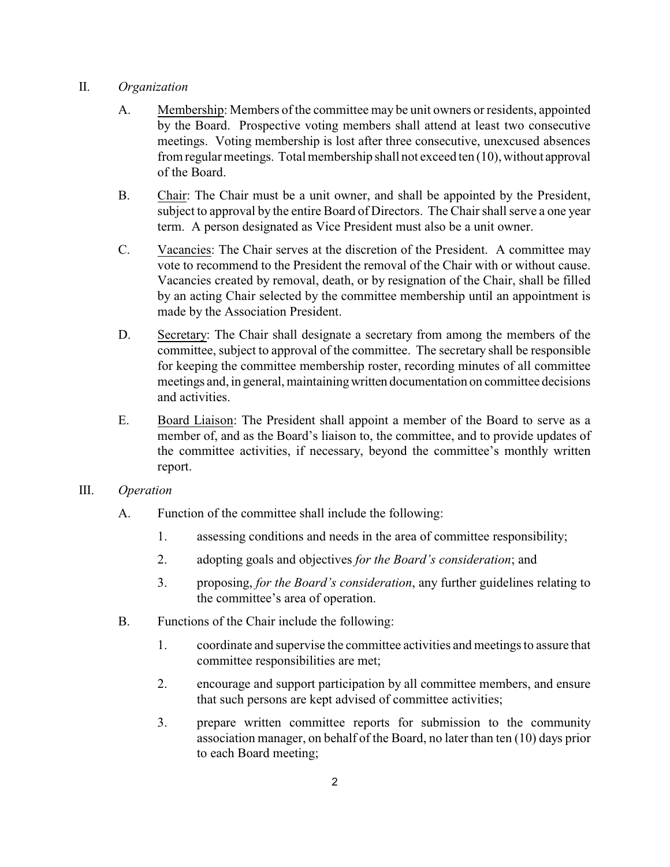### II. *Organization*

- A. Membership: Members of the committee may be unit owners or residents, appointed by the Board. Prospective voting members shall attend at least two consecutive meetings. Voting membership is lost after three consecutive, unexcused absences from regular meetings. Total membership shall not exceed ten (10), without approval of the Board.
- B. Chair: The Chair must be a unit owner, and shall be appointed by the President, subject to approval by the entire Board of Directors. The Chair shall serve a one year term. A person designated as Vice President must also be a unit owner.
- C. Vacancies: The Chair serves at the discretion of the President. A committee may vote to recommend to the President the removal of the Chair with or without cause. Vacancies created by removal, death, or by resignation of the Chair, shall be filled by an acting Chair selected by the committee membership until an appointment is made by the Association President.
- D. Secretary: The Chair shall designate a secretary from among the members of the committee, subject to approval of the committee. The secretary shall be responsible for keeping the committee membership roster, recording minutes of all committee meetings and, in general, maintainingwritten documentation on committee decisions and activities.
- E. Board Liaison: The President shall appoint a member of the Board to serve as a member of, and as the Board's liaison to, the committee, and to provide updates of the committee activities, if necessary, beyond the committee's monthly written report.
- III. *Operation*
	- A. Function of the committee shall include the following:
		- 1. assessing conditions and needs in the area of committee responsibility;
		- 2. adopting goals and objectives *for the Board's consideration*; and
		- 3. proposing, *for the Board's consideration*, any further guidelines relating to the committee's area of operation.
	- B. Functions of the Chair include the following:
		- 1. coordinate and supervise the committee activities and meetings to assure that committee responsibilities are met;
		- 2. encourage and support participation by all committee members, and ensure that such persons are kept advised of committee activities;
		- 3. prepare written committee reports for submission to the community association manager, on behalf of the Board, no later than ten (10) days prior to each Board meeting;